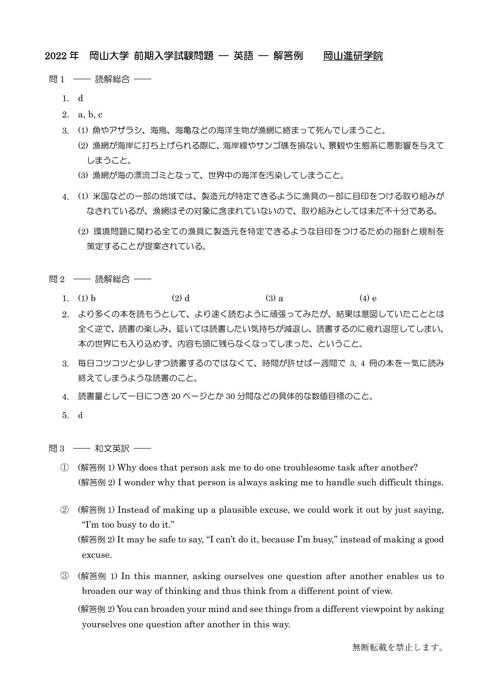# 2022 年 岡山大学 前期入学試験問題 — 英語 — 解答例 岡山進研学院

- 問 1 —— 読解総合 ——
	- 1. d
	- 2. a, b, c
	- 3. (1) 魚やアザラシ、海鳥、海亀などの海洋生物が漁網に絡まって死んでしまうこと。
		- (2) 漁網が海岸に打ち上げられる際に、海岸線やサンゴ礁を損ない、景観や生態系に悪影響を与えて しまうこと。
		- (3) 漁網が海の漂流ゴミとなって、世界中の海洋を汚染してしまうこと。
	- 4. (1) 米国などの一部の地域では、製造元が特定できるように漁具の一部に目印をつける取り組みが なされているが、漁網はその対象に含まれていないので、取り組みとしては未だ不十分である。
		- (2) 環境問題に関わる全ての漁具に製造元を特定できるような目印をつけるための指針と規制を 策定することが提案されている。
- 問 2 –– 読解総合
	- 1. (1) b (2) d (3) a (4) e
	- 2. より多くの本を読もうとして、より速く読むように頑張ってみたが、結果は意図していたこととは 全く逆で、読書の楽しみ、延いては読書したい気持ちが減退し、読書するのに疲れ退屈してしまい、 本の世界にも入り込めず、内容も頭に残らなくなってしまった、ということ。
	- 3. 毎日コツコツと少しずつ読書するのではなくて、時間が許せば一週間で 3, 4 冊の本を一気に読み 終えてしまうような読書のこと。
	- 4. 読書量として一日につき 20 ページとか 30 分間などの具体的な数値目標のこと。
	- 5. d

問 3 —— 和文英訳 ——

- ① (解答例 1) Why does that person ask me to do one troublesome task after another? (解答例 2) I wonder why that person is always asking me to handle such difficult things.
- ② (解答例 1) Instead of making up a plausible excuse, we could work it out by just saying, "I'm too busy to do it." (解答例 2) It may be safe to say, "I can't do it, because I'm busy," instead of making a good excuse.
- ③ (解答例 1) In this manner, asking ourselves one question after another enables us to broaden our way of thinking and thus think from a different point of view.

(解答例 2) You can broaden your mind and see things from a different viewpoint by asking yourselves one question after another in this way.